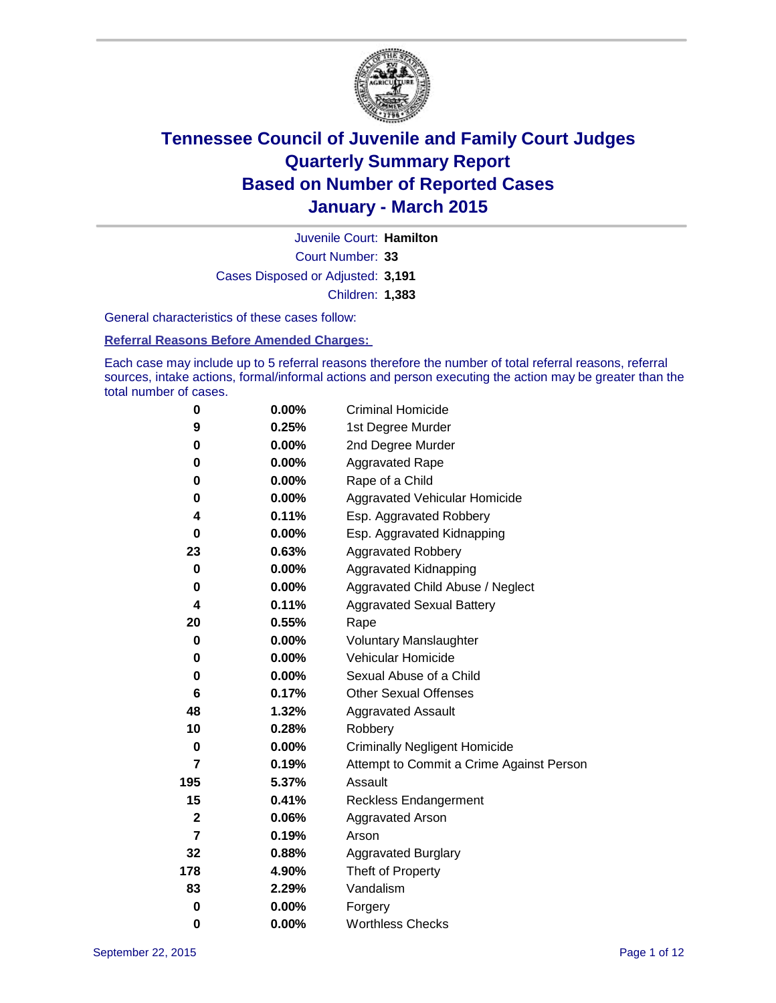

Court Number: **33** Juvenile Court: **Hamilton** Cases Disposed or Adjusted: **3,191** Children: **1,383**

General characteristics of these cases follow:

### **Referral Reasons Before Amended Charges:**

Each case may include up to 5 referral reasons therefore the number of total referral reasons, referral sources, intake actions, formal/informal actions and person executing the action may be greater than the total number of cases.

| 0                | $0.00\%$ | <b>Criminal Homicide</b>                 |
|------------------|----------|------------------------------------------|
| 9                | 0.25%    | 1st Degree Murder                        |
| 0                | 0.00%    | 2nd Degree Murder                        |
| 0                | $0.00\%$ | <b>Aggravated Rape</b>                   |
| 0                | $0.00\%$ | Rape of a Child                          |
| 0                | 0.00%    | <b>Aggravated Vehicular Homicide</b>     |
| 4                | 0.11%    | Esp. Aggravated Robbery                  |
| 0                | $0.00\%$ | Esp. Aggravated Kidnapping               |
| 23               | 0.63%    | <b>Aggravated Robbery</b>                |
| $\bf{0}$         | 0.00%    | Aggravated Kidnapping                    |
| 0                | $0.00\%$ | Aggravated Child Abuse / Neglect         |
| 4                | 0.11%    | <b>Aggravated Sexual Battery</b>         |
| 20               | 0.55%    | Rape                                     |
| 0                | 0.00%    | <b>Voluntary Manslaughter</b>            |
| 0                | $0.00\%$ | <b>Vehicular Homicide</b>                |
| 0                | 0.00%    | Sexual Abuse of a Child                  |
| 6                | 0.17%    | <b>Other Sexual Offenses</b>             |
| 48               | 1.32%    | <b>Aggravated Assault</b>                |
| 10               | 0.28%    | Robbery                                  |
| $\bf{0}$         | 0.00%    | <b>Criminally Negligent Homicide</b>     |
| 7                | 0.19%    | Attempt to Commit a Crime Against Person |
| 195              | 5.37%    | Assault                                  |
| 15               | 0.41%    | <b>Reckless Endangerment</b>             |
| $\boldsymbol{2}$ | 0.06%    | <b>Aggravated Arson</b>                  |
| $\overline{7}$   | 0.19%    | Arson                                    |
| 32               | 0.88%    | <b>Aggravated Burglary</b>               |
| 178              | 4.90%    | Theft of Property                        |
| 83               | 2.29%    | Vandalism                                |
| $\bf{0}$         | 0.00%    | Forgery                                  |
| 0                | 0.00%    | <b>Worthless Checks</b>                  |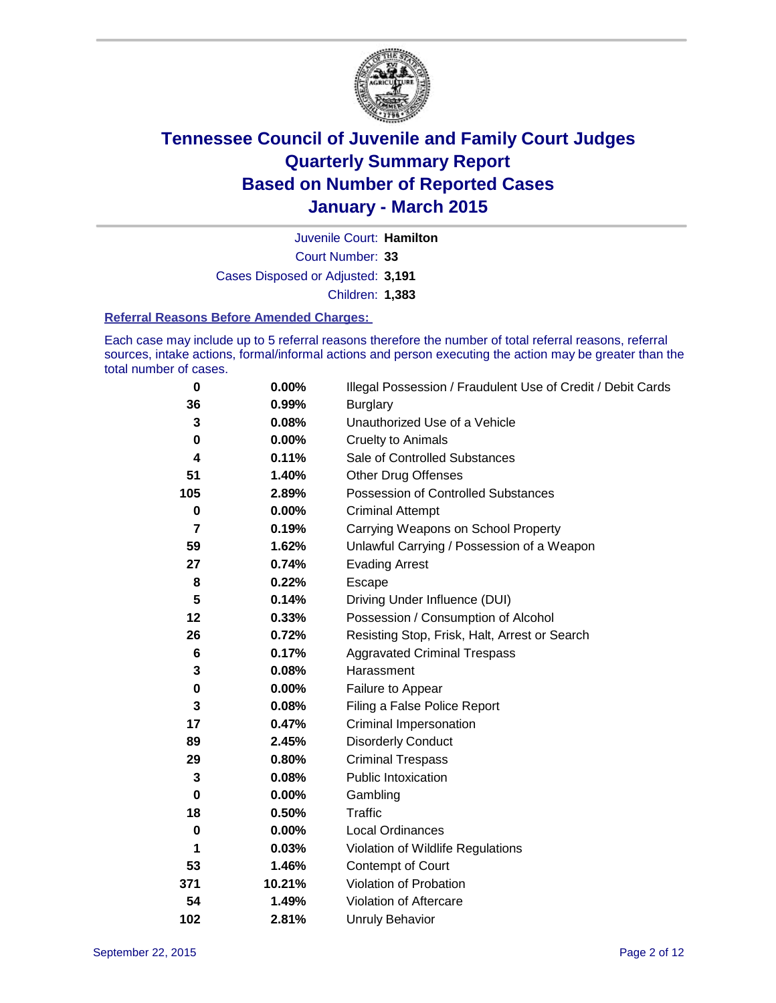

Court Number: **33** Juvenile Court: **Hamilton** Cases Disposed or Adjusted: **3,191** Children: **1,383**

#### **Referral Reasons Before Amended Charges:**

Each case may include up to 5 referral reasons therefore the number of total referral reasons, referral sources, intake actions, formal/informal actions and person executing the action may be greater than the total number of cases.

| $\bf{0}$ | 0.00%  | Illegal Possession / Fraudulent Use of Credit / Debit Cards |
|----------|--------|-------------------------------------------------------------|
| 36       | 0.99%  | <b>Burglary</b>                                             |
| 3        | 0.08%  | Unauthorized Use of a Vehicle                               |
| $\bf{0}$ | 0.00%  | <b>Cruelty to Animals</b>                                   |
| 4        | 0.11%  | Sale of Controlled Substances                               |
| 51       | 1.40%  | <b>Other Drug Offenses</b>                                  |
| 105      | 2.89%  | Possession of Controlled Substances                         |
| 0        | 0.00%  | <b>Criminal Attempt</b>                                     |
| 7        | 0.19%  | Carrying Weapons on School Property                         |
| 59       | 1.62%  | Unlawful Carrying / Possession of a Weapon                  |
| 27       | 0.74%  | <b>Evading Arrest</b>                                       |
| 8        | 0.22%  | Escape                                                      |
| 5        | 0.14%  | Driving Under Influence (DUI)                               |
| 12       | 0.33%  | Possession / Consumption of Alcohol                         |
| 26       | 0.72%  | Resisting Stop, Frisk, Halt, Arrest or Search               |
| 6        | 0.17%  | <b>Aggravated Criminal Trespass</b>                         |
| 3        | 0.08%  | Harassment                                                  |
| $\bf{0}$ | 0.00%  | Failure to Appear                                           |
| 3        | 0.08%  | Filing a False Police Report                                |
| 17       | 0.47%  | Criminal Impersonation                                      |
| 89       | 2.45%  | <b>Disorderly Conduct</b>                                   |
| 29       | 0.80%  | <b>Criminal Trespass</b>                                    |
| 3        | 0.08%  | <b>Public Intoxication</b>                                  |
| $\bf{0}$ | 0.00%  | Gambling                                                    |
| 18       | 0.50%  | <b>Traffic</b>                                              |
| $\bf{0}$ | 0.00%  | Local Ordinances                                            |
| 1        | 0.03%  | Violation of Wildlife Regulations                           |
| 53       | 1.46%  | Contempt of Court                                           |
| 371      | 10.21% | Violation of Probation                                      |
| 54       | 1.49%  | Violation of Aftercare                                      |
| 102      | 2.81%  | <b>Unruly Behavior</b>                                      |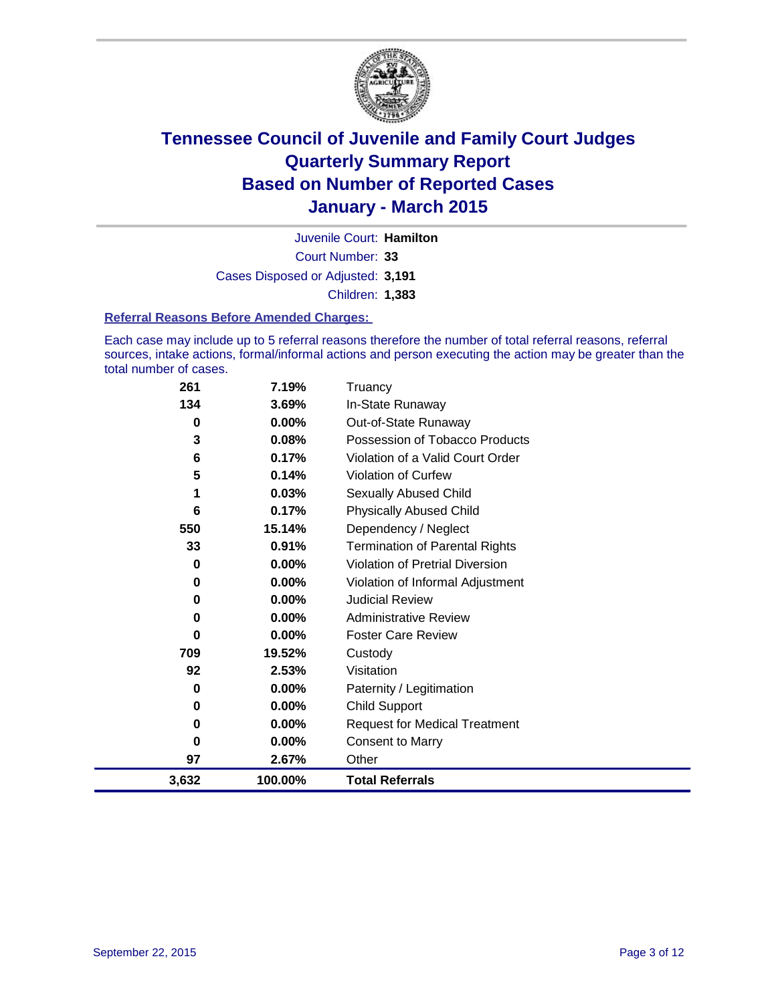

Court Number: **33** Juvenile Court: **Hamilton** Cases Disposed or Adjusted: **3,191** Children: **1,383**

### **Referral Reasons Before Amended Charges:**

Each case may include up to 5 referral reasons therefore the number of total referral reasons, referral sources, intake actions, formal/informal actions and person executing the action may be greater than the total number of cases.

| 261   | 7.19%    | Truancy                                |
|-------|----------|----------------------------------------|
| 134   | 3.69%    | In-State Runaway                       |
| 0     | $0.00\%$ | Out-of-State Runaway                   |
| 3     | 0.08%    | Possession of Tobacco Products         |
| 6     | 0.17%    | Violation of a Valid Court Order       |
| 5     | 0.14%    | <b>Violation of Curfew</b>             |
| 1     | 0.03%    | Sexually Abused Child                  |
| 6     | 0.17%    | <b>Physically Abused Child</b>         |
| 550   | 15.14%   | Dependency / Neglect                   |
| 33    | 0.91%    | <b>Termination of Parental Rights</b>  |
| 0     | 0.00%    | <b>Violation of Pretrial Diversion</b> |
| 0     | 0.00%    | Violation of Informal Adjustment       |
| 0     | $0.00\%$ | <b>Judicial Review</b>                 |
| 0     | 0.00%    | <b>Administrative Review</b>           |
| 0     | 0.00%    | <b>Foster Care Review</b>              |
| 709   | 19.52%   | Custody                                |
| 92    | 2.53%    | Visitation                             |
| 0     | 0.00%    | Paternity / Legitimation               |
| 0     | $0.00\%$ | <b>Child Support</b>                   |
| 0     | 0.00%    | <b>Request for Medical Treatment</b>   |
| 0     | 0.00%    | <b>Consent to Marry</b>                |
| 97    | 2.67%    | Other                                  |
| 3,632 | 100.00%  | <b>Total Referrals</b>                 |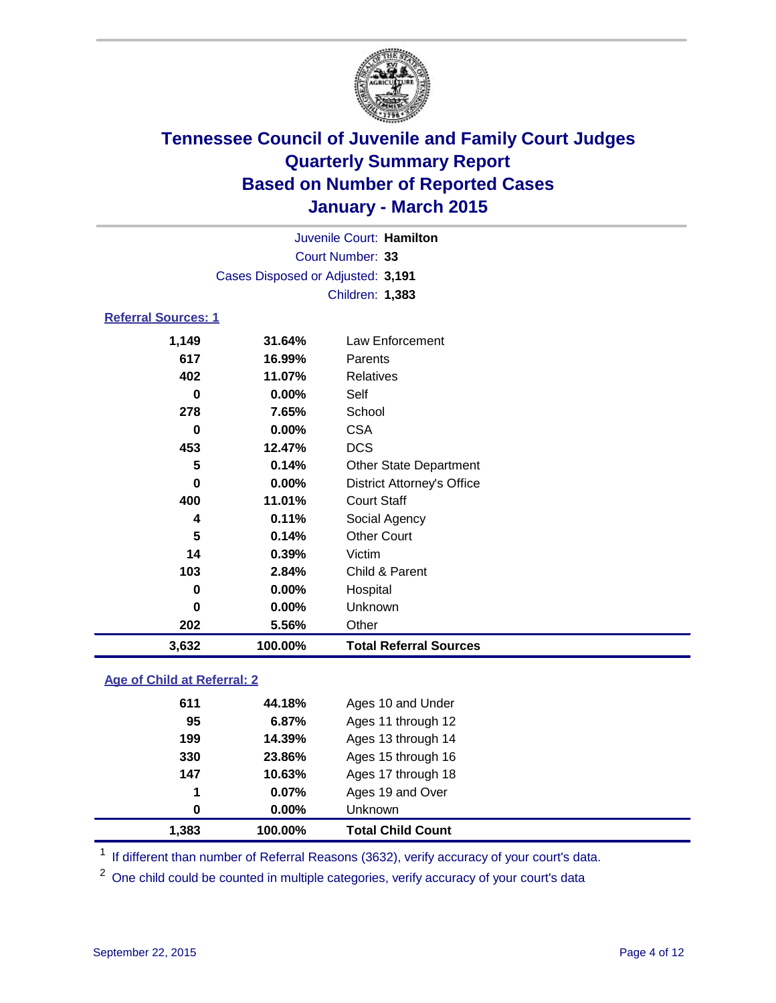

|                            |                                   | Juvenile Court: Hamilton |  |
|----------------------------|-----------------------------------|--------------------------|--|
|                            |                                   | Court Number: 33         |  |
|                            | Cases Disposed or Adjusted: 3,191 |                          |  |
|                            |                                   | <b>Children: 1,383</b>   |  |
| <b>Referral Sources: 1</b> |                                   |                          |  |
| 1.149                      | 31.64%                            | Law Enforcement          |  |

| 3,632 | 100.00%  | <b>Total Referral Sources</b>     |
|-------|----------|-----------------------------------|
| 202   | 5.56%    | Other                             |
| 0     | 0.00%    | Unknown                           |
| 0     | $0.00\%$ | Hospital                          |
| 103   | 2.84%    | Child & Parent                    |
| 14    | 0.39%    | Victim                            |
| 5     | 0.14%    | <b>Other Court</b>                |
| 4     | 0.11%    | Social Agency                     |
| 400   | 11.01%   | <b>Court Staff</b>                |
| 0     | $0.00\%$ | <b>District Attorney's Office</b> |
| 5     | 0.14%    | <b>Other State Department</b>     |
| 453   | 12.47%   | <b>DCS</b>                        |
| 0     | $0.00\%$ | <b>CSA</b>                        |
| 278   | 7.65%    | School                            |
| 0     | 0.00%    | Self                              |
| 402   | 11.07%   | <b>Relatives</b>                  |
| 617   | 16.99%   | Parents                           |
| . -   |          | ווטטוסטופוונט ווב                 |

### **Age of Child at Referral: 2**

| 1,383 | 100.00% | <b>Total Child Count</b> |
|-------|---------|--------------------------|
| 0     | 0.00%   | <b>Unknown</b>           |
| 1     | 0.07%   | Ages 19 and Over         |
| 147   | 10.63%  | Ages 17 through 18       |
| 330   | 23.86%  | Ages 15 through 16       |
| 199   | 14.39%  | Ages 13 through 14       |
| 95    | 6.87%   | Ages 11 through 12       |
| 611   | 44.18%  | Ages 10 and Under        |
|       |         |                          |

<sup>1</sup> If different than number of Referral Reasons (3632), verify accuracy of your court's data.

One child could be counted in multiple categories, verify accuracy of your court's data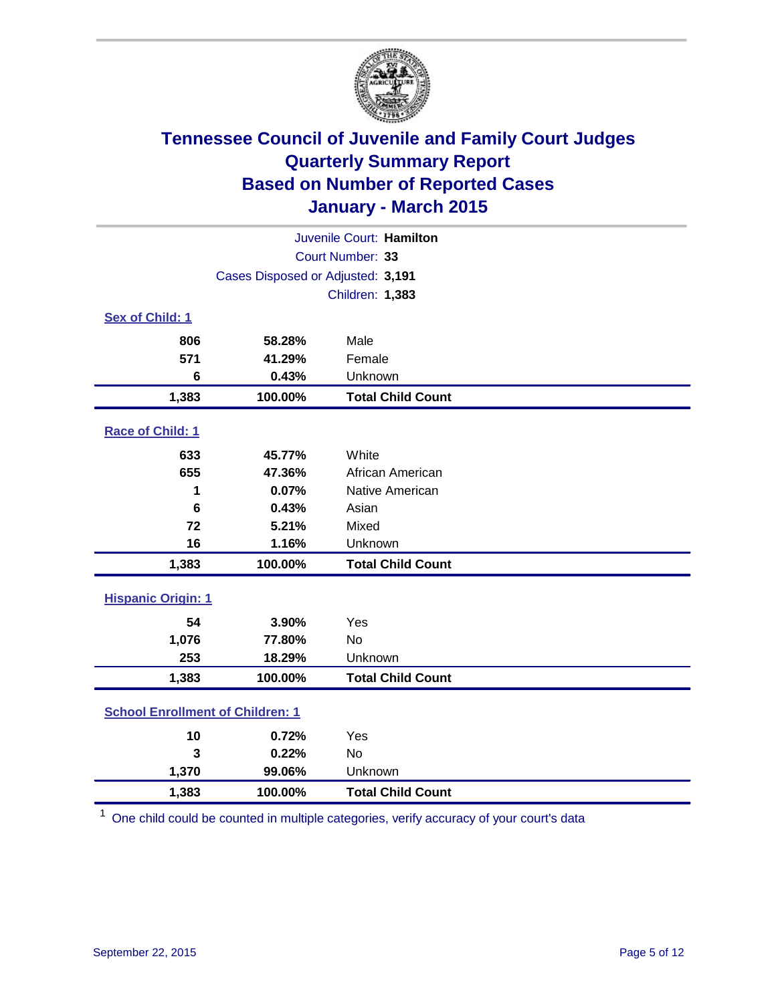

| Juvenile Court: Hamilton                |                                   |                          |  |  |  |
|-----------------------------------------|-----------------------------------|--------------------------|--|--|--|
|                                         | Court Number: 33                  |                          |  |  |  |
|                                         | Cases Disposed or Adjusted: 3,191 |                          |  |  |  |
|                                         |                                   | Children: 1,383          |  |  |  |
| Sex of Child: 1                         |                                   |                          |  |  |  |
| 806                                     | 58.28%                            | Male                     |  |  |  |
| 571                                     | 41.29%                            | Female                   |  |  |  |
| 6                                       | 0.43%                             | Unknown                  |  |  |  |
| 1,383                                   | 100.00%                           | <b>Total Child Count</b> |  |  |  |
| Race of Child: 1                        |                                   |                          |  |  |  |
| 633                                     | 45.77%                            | White                    |  |  |  |
| 655                                     | 47.36%                            | African American         |  |  |  |
| 1                                       | 0.07%                             | Native American          |  |  |  |
| 6                                       | 0.43%                             | Asian                    |  |  |  |
| 72                                      | 5.21%                             | Mixed                    |  |  |  |
| 16                                      | 1.16%                             | Unknown                  |  |  |  |
| 1,383                                   | 100.00%                           | <b>Total Child Count</b> |  |  |  |
| <b>Hispanic Origin: 1</b>               |                                   |                          |  |  |  |
| 54                                      | 3.90%                             | Yes                      |  |  |  |
| 1,076                                   | 77.80%                            | No                       |  |  |  |
| 253                                     | 18.29%                            | Unknown                  |  |  |  |
| 1,383                                   | 100.00%                           | <b>Total Child Count</b> |  |  |  |
| <b>School Enrollment of Children: 1</b> |                                   |                          |  |  |  |
| 10                                      | 0.72%                             | Yes                      |  |  |  |
| 3                                       | 0.22%                             | No                       |  |  |  |
| 1,370                                   | 99.06%                            | Unknown                  |  |  |  |
| 1,383                                   | 100.00%                           | <b>Total Child Count</b> |  |  |  |

<sup>1</sup> One child could be counted in multiple categories, verify accuracy of your court's data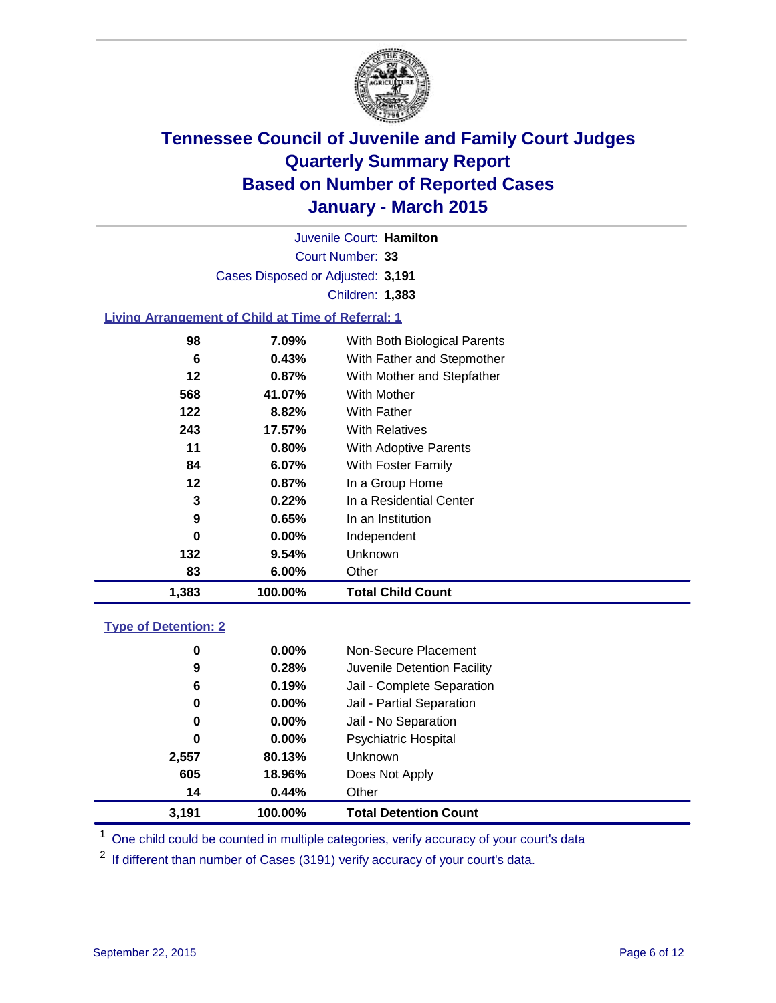

Court Number: **33** Juvenile Court: **Hamilton** Cases Disposed or Adjusted: **3,191** Children: **1,383**

### **Living Arrangement of Child at Time of Referral: 1**

| 1,383 | 100.00%  | <b>Total Child Count</b>     |
|-------|----------|------------------------------|
| 83    | $6.00\%$ | Other                        |
| 132   | 9.54%    | Unknown                      |
| 0     | $0.00\%$ | Independent                  |
| 9     | 0.65%    | In an Institution            |
| 3     | 0.22%    | In a Residential Center      |
| 12    | 0.87%    | In a Group Home              |
| 84    | 6.07%    | With Foster Family           |
| 11    | 0.80%    | <b>With Adoptive Parents</b> |
| 243   | 17.57%   | <b>With Relatives</b>        |
| 122   | 8.82%    | With Father                  |
| 568   | 41.07%   | <b>With Mother</b>           |
| 12    | 0.87%    | With Mother and Stepfather   |
| 6     | 0.43%    | With Father and Stepmother   |
| 98    | 7.09%    | With Both Biological Parents |
|       |          |                              |

### **Type of Detention: 2**

| 0     | $0.00\%$ | Non-Secure Placement         |  |
|-------|----------|------------------------------|--|
| 9     | 0.28%    | Juvenile Detention Facility  |  |
| 6     | 0.19%    | Jail - Complete Separation   |  |
| 0     | 0.00%    | Jail - Partial Separation    |  |
| 0     | $0.00\%$ | Jail - No Separation         |  |
| 0     | $0.00\%$ | <b>Psychiatric Hospital</b>  |  |
| 2,557 | 80.13%   | <b>Unknown</b>               |  |
| 605   | 18.96%   | Does Not Apply               |  |
| 14    | 0.44%    | Other                        |  |
| 3,191 | 100.00%  | <b>Total Detention Count</b> |  |

<sup>1</sup> One child could be counted in multiple categories, verify accuracy of your court's data

If different than number of Cases (3191) verify accuracy of your court's data.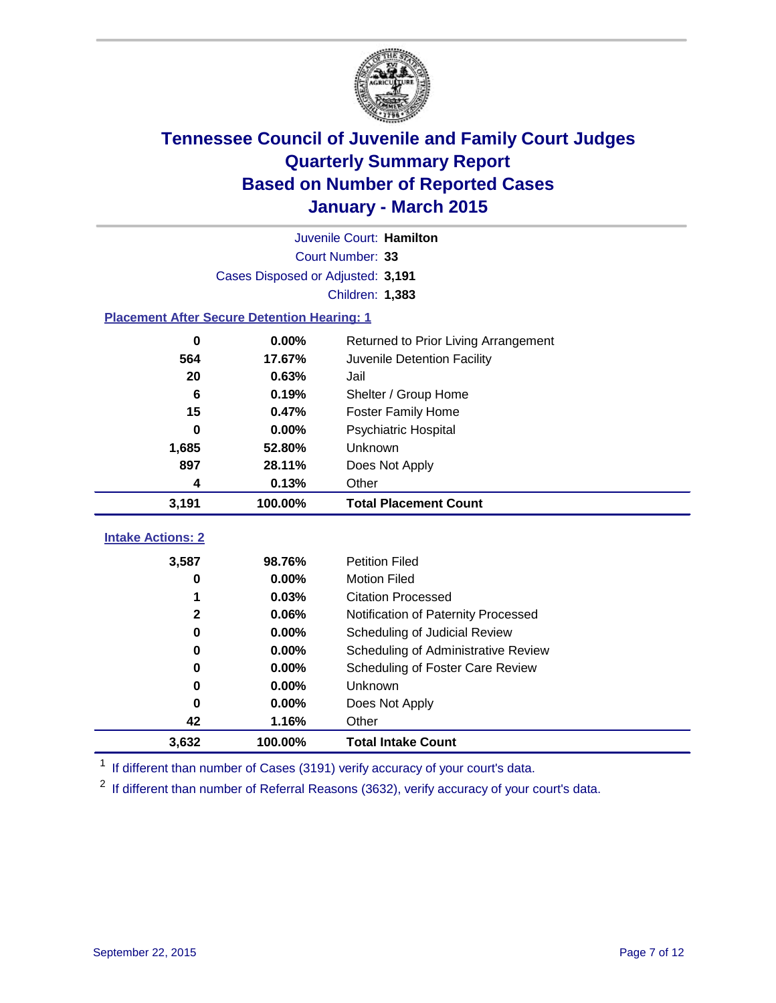

| Juvenile Court: Hamilton                           |                                   |                                      |  |  |  |  |
|----------------------------------------------------|-----------------------------------|--------------------------------------|--|--|--|--|
|                                                    | Court Number: 33                  |                                      |  |  |  |  |
|                                                    | Cases Disposed or Adjusted: 3,191 |                                      |  |  |  |  |
|                                                    |                                   | Children: 1,383                      |  |  |  |  |
| <b>Placement After Secure Detention Hearing: 1</b> |                                   |                                      |  |  |  |  |
| $\bf{0}$                                           | 0.00%                             | Returned to Prior Living Arrangement |  |  |  |  |
| 564                                                | 17.67%                            | Juvenile Detention Facility          |  |  |  |  |
| 20                                                 | 0.63%                             | Jail                                 |  |  |  |  |
| 6                                                  | 0.19%                             | Shelter / Group Home                 |  |  |  |  |
| 15                                                 | 0.47%                             | <b>Foster Family Home</b>            |  |  |  |  |
| $\bf{0}$                                           | 0.00%                             | Psychiatric Hospital                 |  |  |  |  |
| 1,685                                              | 52.80%                            | Unknown                              |  |  |  |  |
| 897                                                | 28.11%                            | Does Not Apply                       |  |  |  |  |
| 4                                                  | 0.13%                             | Other                                |  |  |  |  |
| 3,191                                              | 100.00%                           | <b>Total Placement Count</b>         |  |  |  |  |
|                                                    |                                   |                                      |  |  |  |  |
| <b>Intake Actions: 2</b>                           |                                   |                                      |  |  |  |  |
| 3,587                                              | 98.76%                            | <b>Petition Filed</b>                |  |  |  |  |
| 0                                                  | 0.00%                             | <b>Motion Filed</b>                  |  |  |  |  |
| 1                                                  | 0.03%                             | <b>Citation Processed</b>            |  |  |  |  |
| $\mathbf 2$                                        | 0.06%                             | Notification of Paternity Processed  |  |  |  |  |
| $\bf{0}$                                           | 0.00%                             | Scheduling of Judicial Review        |  |  |  |  |
| 0                                                  | 0.00%                             | Scheduling of Administrative Review  |  |  |  |  |
| 0                                                  | $0.00\%$                          | Scheduling of Foster Care Review     |  |  |  |  |
| 0                                                  | 0.00%                             | Unknown                              |  |  |  |  |
| 0                                                  | 0.00%                             | Does Not Apply                       |  |  |  |  |
| 42                                                 | 1.16%                             | Other                                |  |  |  |  |
| 3,632                                              | 100.00%                           | <b>Total Intake Count</b>            |  |  |  |  |

<sup>1</sup> If different than number of Cases (3191) verify accuracy of your court's data.

 $2$  If different than number of Referral Reasons (3632), verify accuracy of your court's data.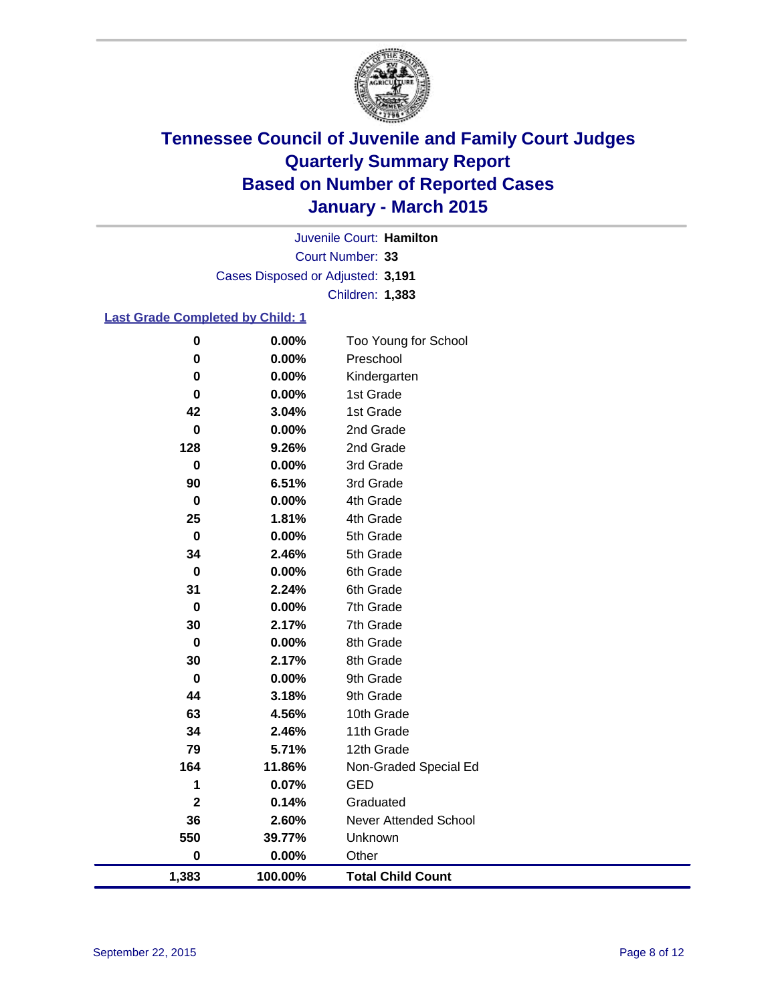

Court Number: **33** Juvenile Court: **Hamilton** Cases Disposed or Adjusted: **3,191** Children: **1,383**

### **Last Grade Completed by Child: 1**

| 1,383          | 100.00%        | <b>Total Child Count</b>     |
|----------------|----------------|------------------------------|
| $\bf{0}$       | 0.00%          | Other                        |
| 550            | 39.77%         | Unknown                      |
| 36             | 2.60%          | <b>Never Attended School</b> |
| $\mathbf 2$    | 0.14%          | Graduated                    |
| 1              | 0.07%          | GED                          |
| 164            | 11.86%         | Non-Graded Special Ed        |
| 79             | 5.71%          | 12th Grade                   |
| 34             | 2.46%          | 11th Grade                   |
| 63             | 4.56%          | 10th Grade                   |
| 44             | 3.18%          | 9th Grade                    |
| $\bf{0}$       | 0.00%          | 9th Grade                    |
| 30             | 2.17%          | 8th Grade                    |
| $\bf{0}$       | 0.00%          | 8th Grade                    |
| 30             | 2.17%          | 7th Grade                    |
| $\bf{0}$       | 0.00%          | 7th Grade                    |
| 31             | 2.24%          | 6th Grade                    |
| $\pmb{0}$      | 0.00%          | 6th Grade                    |
| 34             | 2.46%          | 5th Grade                    |
| $\pmb{0}$      | 0.00%          | 5th Grade                    |
| 25             | 1.81%          | 4th Grade                    |
| $\pmb{0}$      | 0.00%          | 4th Grade                    |
| $\bf{0}$<br>90 | 0.00%<br>6.51% | 3rd Grade<br>3rd Grade       |
| 128            | 9.26%          | 2nd Grade                    |
| $\bf{0}$       | 0.00%          | 2nd Grade                    |
| 42             | 3.04%          | 1st Grade                    |
| 0              | 0.00%          | 1st Grade                    |
| $\bf{0}$       | 0.00%          | Kindergarten                 |
| $\bf{0}$       | 0.00%          | Preschool                    |
| $\bf{0}$       | 0.00%          | Too Young for School         |
|                |                |                              |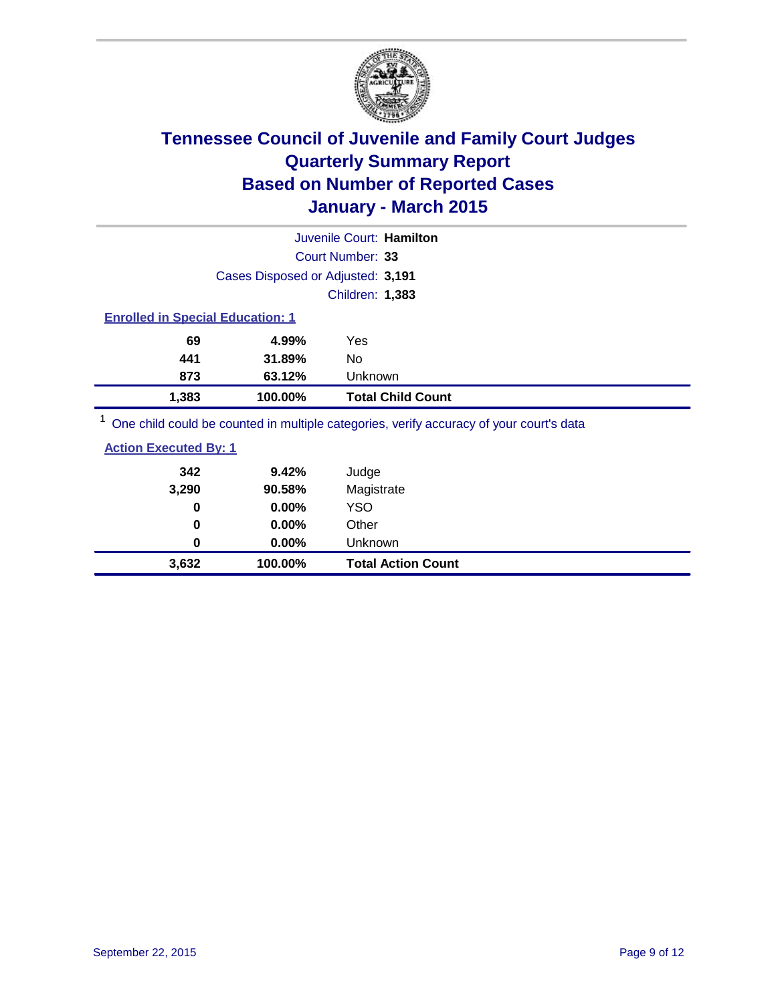

| Juvenile Court: Hamilton                                                                |                                   |                          |  |  |  |
|-----------------------------------------------------------------------------------------|-----------------------------------|--------------------------|--|--|--|
|                                                                                         |                                   | Court Number: 33         |  |  |  |
|                                                                                         | Cases Disposed or Adjusted: 3,191 |                          |  |  |  |
|                                                                                         |                                   | <b>Children: 1,383</b>   |  |  |  |
| <b>Enrolled in Special Education: 1</b>                                                 |                                   |                          |  |  |  |
| 69                                                                                      | 4.99%                             | Yes                      |  |  |  |
| 441                                                                                     | 31.89%                            | No                       |  |  |  |
| 873                                                                                     | 63.12%                            | Unknown                  |  |  |  |
| 1,383                                                                                   | 100.00%                           | <b>Total Child Count</b> |  |  |  |
| One child could be counted in multiple categories, verify accuracy of your court's data |                                   |                          |  |  |  |

| <b>Action Executed By: 1</b> |         |                           |
|------------------------------|---------|---------------------------|
| 342                          | 9.42%   | Judge                     |
| 3,290                        | 90.58%  | Magistrate                |
| 0                            | 0.00%   | YSO                       |
| 0                            | 0.00%   | Other                     |
| 0                            | 0.00%   | Unknown                   |
| 3,632                        | 100.00% | <b>Total Action Count</b> |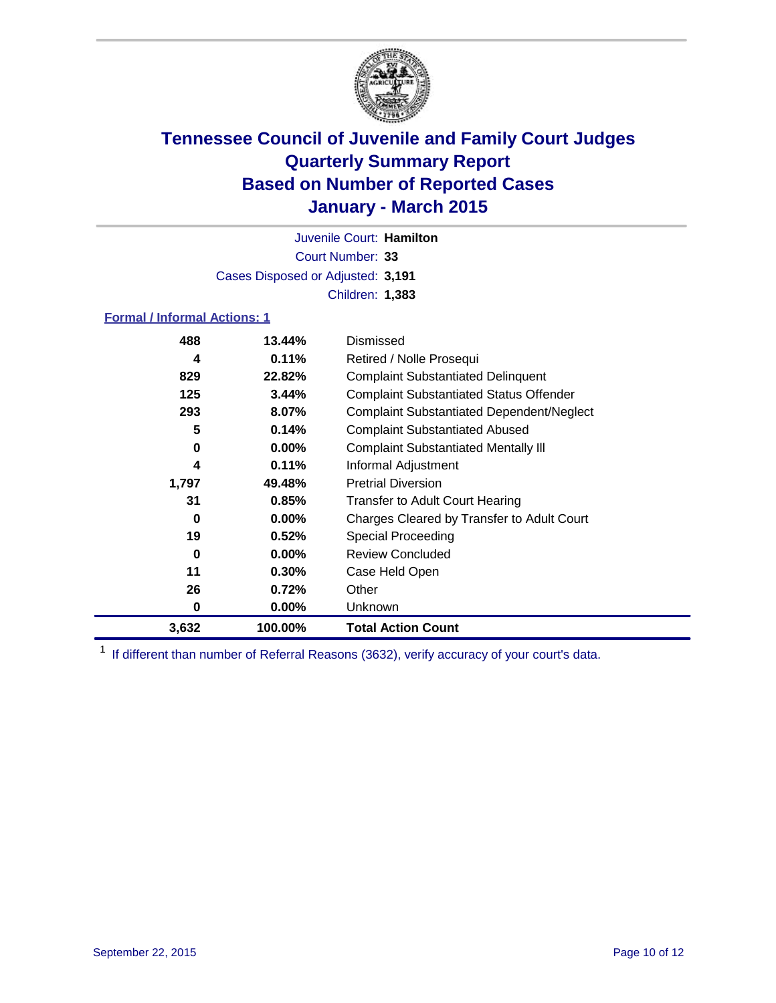

Court Number: **33** Juvenile Court: **Hamilton** Cases Disposed or Adjusted: **3,191** Children: **1,383**

### **Formal / Informal Actions: 1**

| 488   | 13.44%   | Dismissed                                        |
|-------|----------|--------------------------------------------------|
| 4     | 0.11%    | Retired / Nolle Prosequi                         |
| 829   | 22.82%   | <b>Complaint Substantiated Delinquent</b>        |
| 125   | 3.44%    | <b>Complaint Substantiated Status Offender</b>   |
| 293   | 8.07%    | <b>Complaint Substantiated Dependent/Neglect</b> |
| 5     | 0.14%    | <b>Complaint Substantiated Abused</b>            |
| 0     | $0.00\%$ | <b>Complaint Substantiated Mentally III</b>      |
| 4     | 0.11%    | Informal Adjustment                              |
| 1,797 | 49.48%   | <b>Pretrial Diversion</b>                        |
| 31    | 0.85%    | <b>Transfer to Adult Court Hearing</b>           |
| 0     | $0.00\%$ | Charges Cleared by Transfer to Adult Court       |
| 19    | 0.52%    | Special Proceeding                               |
| 0     | $0.00\%$ | <b>Review Concluded</b>                          |
| 11    | 0.30%    | Case Held Open                                   |
| 26    | 0.72%    | Other                                            |
| 0     | $0.00\%$ | Unknown                                          |
| 3,632 | 100.00%  | <b>Total Action Count</b>                        |

<sup>1</sup> If different than number of Referral Reasons (3632), verify accuracy of your court's data.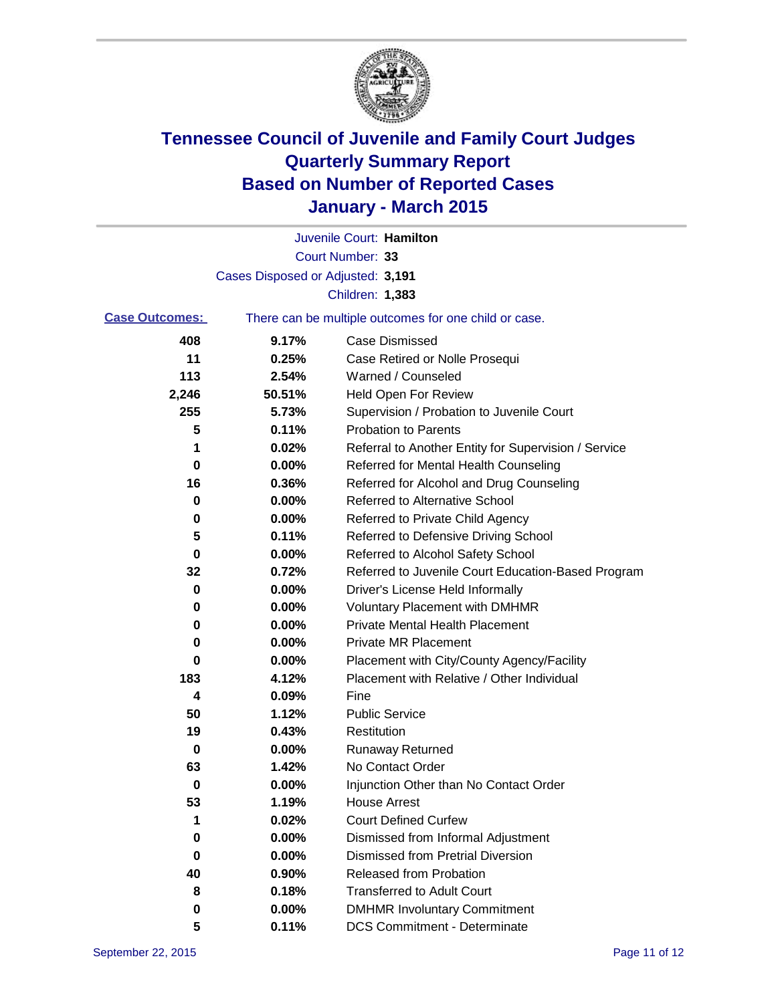

|                       |                                   | Juvenile Court: Hamilton                              |
|-----------------------|-----------------------------------|-------------------------------------------------------|
|                       |                                   | Court Number: 33                                      |
|                       | Cases Disposed or Adjusted: 3,191 |                                                       |
|                       |                                   | Children: 1,383                                       |
| <b>Case Outcomes:</b> |                                   | There can be multiple outcomes for one child or case. |
| 408                   | 9.17%                             | <b>Case Dismissed</b>                                 |
| 11                    | 0.25%                             | Case Retired or Nolle Prosequi                        |
| 113                   | 2.54%                             | Warned / Counseled                                    |
| 2,246                 | 50.51%                            | <b>Held Open For Review</b>                           |
| 255                   | 5.73%                             | Supervision / Probation to Juvenile Court             |
| 5                     | 0.11%                             | <b>Probation to Parents</b>                           |
| 1                     | 0.02%                             | Referral to Another Entity for Supervision / Service  |
| 0                     | 0.00%                             | Referred for Mental Health Counseling                 |
| 16                    | 0.36%                             | Referred for Alcohol and Drug Counseling              |
| 0                     | 0.00%                             | Referred to Alternative School                        |
| 0                     | 0.00%                             | Referred to Private Child Agency                      |
| 5                     | 0.11%                             | Referred to Defensive Driving School                  |
| 0                     | 0.00%                             | Referred to Alcohol Safety School                     |
| 32                    | 0.72%                             | Referred to Juvenile Court Education-Based Program    |
| 0                     | 0.00%                             | Driver's License Held Informally                      |
| 0                     | 0.00%                             | <b>Voluntary Placement with DMHMR</b>                 |
| 0                     | 0.00%                             | <b>Private Mental Health Placement</b>                |
| 0                     | 0.00%                             | <b>Private MR Placement</b>                           |
| 0                     | 0.00%                             | Placement with City/County Agency/Facility            |
| 183                   | 4.12%                             | Placement with Relative / Other Individual            |
| 4                     | 0.09%                             | Fine                                                  |
| 50                    | 1.12%                             | <b>Public Service</b>                                 |
| 19                    | 0.43%                             | Restitution                                           |
| 0                     | 0.00%                             | <b>Runaway Returned</b>                               |
| 63                    | 1.42%                             | No Contact Order                                      |
| 0                     | 0.00%                             | Injunction Other than No Contact Order                |
| 53                    | 1.19%                             | House Arrest                                          |
| 1                     | 0.02%                             | <b>Court Defined Curfew</b>                           |
| 0                     | 0.00%                             | Dismissed from Informal Adjustment                    |
| 0                     | 0.00%                             | <b>Dismissed from Pretrial Diversion</b>              |
| 40                    | 0.90%                             | Released from Probation                               |
| 8                     | 0.18%                             | <b>Transferred to Adult Court</b>                     |
| 0                     | 0.00%                             | <b>DMHMR Involuntary Commitment</b>                   |
| 5                     | 0.11%                             | <b>DCS Commitment - Determinate</b>                   |